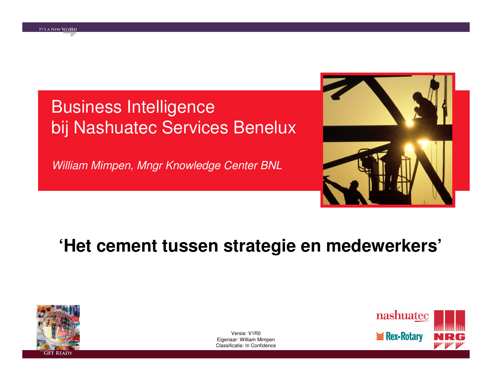# Business Intelligencebij Nashuatec Services Benelux

William Mimpen, Mngr Knowledge Center BNL



# **'Het cement tussen strategie en medewerkers'**



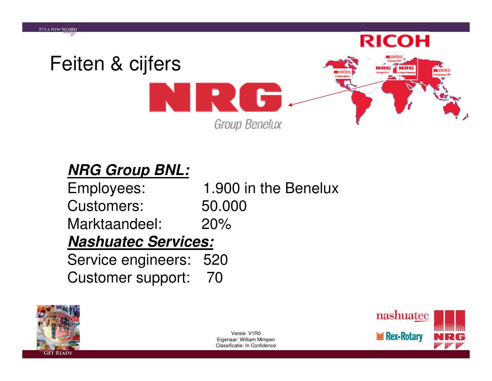

#### **NRG Group BNL:**

| Employees:                 | 1.900 in the Benelux |
|----------------------------|----------------------|
| <b>Customers:</b>          | 50.000               |
| Marktaandeel:              | 20%                  |
| <b>Nashuatec Services:</b> |                      |
| Service engineers: 520     |                      |
| Customer support: 70       |                      |



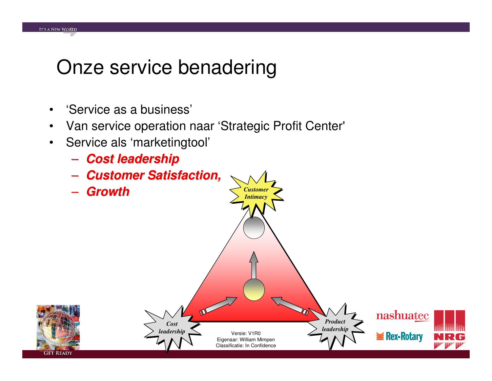# Onze service benadering

 $\bullet$ 'Service as a business'

**IT'S A NEW WORLD** 

- $\bullet$ Van service operation naar 'Strategic Profit Center'
- $\bullet$  Service als 'marketingtool' –
	- **Cost leadership**
- Customer Sati **Customer Satisfaction, Growth***Customer*–*Intimacy*M nashuatec *p Product CostCostleadership leadership*Versie: V1R0Rex-Rotary ÷ Eigenaar: William Mimpen Classificatie: In Confidence**GET READY**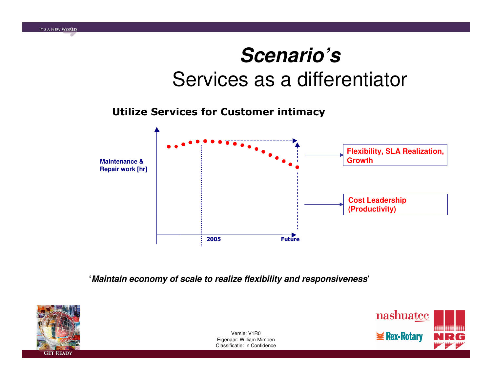# **Scenario's**Services as a differentiator

#### Utilize Services for Customer intimacy

**IT'S A NEW WORLD** 



**'Maintain economy of scale to realize flexibility and responsiveness'**

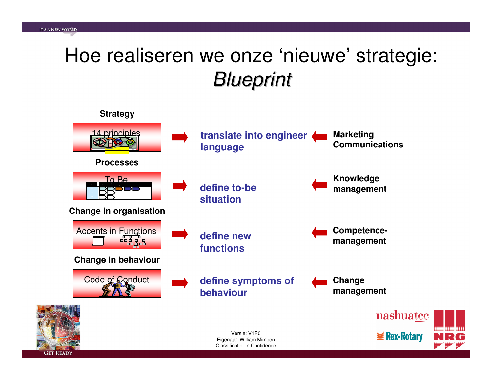# Hoe realiseren we onze 'nieuwe' strategie: **Blueprint**



**GET READY**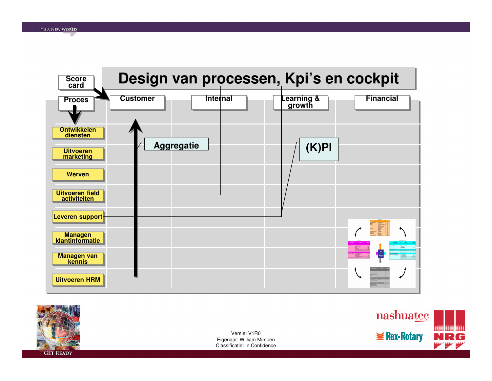



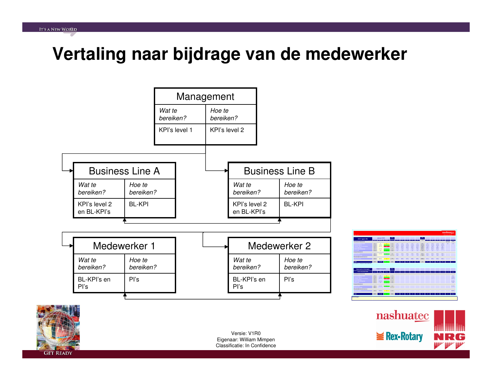#### **Vertaling naar bijdrage van de medewerker**



**contract FTE**

**GET READY**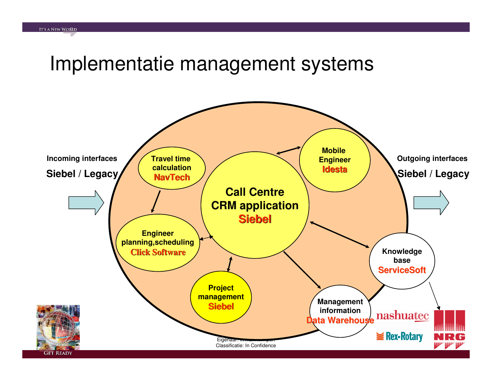### Implementatie management systems

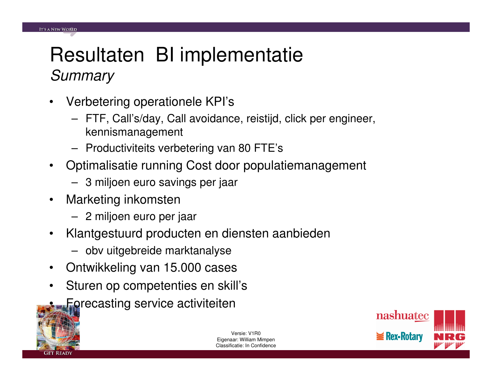## Resultaten BI implementatie**Summary**

- $\bullet$  Verbetering operationele KPI's
	- FTF, Call's/day, Call avoidance, reistijd, click per engineer, kennismanagement
	- Productiviteits verbetering van 80 FTE's
- $\bullet$  Optimalisatie running Cost door populatiemanagement
	- 3 miljoen euro savings per jaar
- • Marketing inkomsten
	- 2 miljoen euro per jaar
- $\bullet$  Klantgestuurd producten en diensten aanbieden
	- obv uitgebreide marktanalyse
- $\bullet$ Ontwikkeling van 15.000 cases
- • Sturen op competenties en skill's
	- Forecasting service activiteiten



•